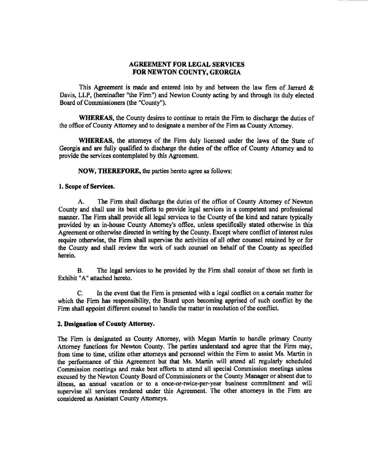# AGREEMENT FOR LEGAL SERVICES FOR NEWTON COUNTY, GEORGIA

This Agreement is made and entered into by and between the law firm of Jarrard & Davis, LLP, (hereinafter "the Firm") and Newton County acting by and through its duly elected Board of Commissioners (the "County").

WHEREAS, the County desires to continue to retain the Firm to discharge the duties of the office of County Attorney and to designate <sup>a</sup> member of the Firm as County Attorney.

WHEREAS, the attorneys of the Firm duly licensed under the laws of the State of Georgia and are fully qualified to discharge the duties of the office of County Attorney and to provide the services contemplated by this Agreement.

NOW, THEREFORE, the parties hereto agree as follows:

#### 1. Scope of Services.

A. The Firm shall discharge the duties of the office of County Attorney of Newton County and shall use its best efforts to provide legal services in a competent and professional manner. The Firm shall provide all legal services to the County of the kind and nature typically provided by an in-house County Attorney's office, unless specifically stated otherwise in this Agreement or otherwise directed in writing by the County. Except where conflict of interest rules require otherwise, the Firm shall supervise the activities of all other counsel retained by or for the County and shall review the work of such counsel on behalf of the County as specified herein.

B. The legal services to be provided by the Firm shall consist of those set forth in Exhibit "A" attached hereto.

C. In the event that the Firm is presented with a legal conflict on a certain matter for which the Firm has responsibility, the Board upon becoming apprised of such conflict by the Firm shall appoint different counsel to handle the matter in resolution of the conflict.

## Z. Designation of County Attorney.

The Firm is designated as County Attorney, with Megan Martin to handle primary County Attorney functions for Newton County. The parties understand and agree that the Firm may, from time to time, utilize other attorneys and personnel within the Firm to assist Ms. Martin in the performance of this Agreement but that Ms. Martin will attend all regularly scheduled Commission meetings and make best efforts to attend all special Commission meetings unless excused by the Newton County Board of Commissioners or the County Manager or absent due to illness, an annual vacation or to a once-or-twice-per-year business commitment and will supervise all services rendered under this Agreement. The other attorneys in the Firm are considered as Assistant County Attorneys.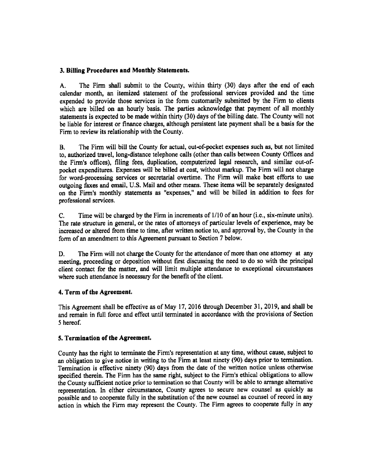# 3. Billing Procedures and Monthly Statements.

A. The Firm shall submit to the County, within thirty (30) days after the end of each calendar month, an itemized statement of the professional services provided and the time expended to provide those services in the form customarily submitted by the Firm to clients which are billed on an hourly basis. The parties acknowledge that payment of all monthly statements is expected to be made within thirty( 30) days of the billing date. The County will not be liable for interest or finance charges, although persistent late payment shall be a basis for the Firm to review its relationship with the County.

B. The Firm will bill the County for actual, out-of-pocket expenses such as, but not limited to, authorized travel, long-distance telephone calls ( other than calls between County Offices and the Firm's offices), filing fees, duplication, computerized legal research, and similar out-ofpocket expenditures. Expenses will be billed at cost, without markup. The Firm will not charge for word-processing services or secretarial overtime. The Firm will make best efforts to use outgoing faxes and email, U.S. Mail and other means. These items will be separately designated on the Firm's monthly statements as "expenses," and will be billed in addition to fees for professional services.

C. Time will be charged by the Firm in increments of 1/10 of an hour (i.e., six-minute units). The rate structure in general, or the rates of attorneys of particular levels of experience, may be increased or altered from time to time, after written notice to, and approval by, the County in the form of an amendment to this Agreement pursuant to Section 7 below.

D. The Firm will not charge the County for the attendance of more than one attorney at any meeting, proceeding or deposition without first discussing the need to do so with the principal client contact for the matter, and will limit multiple attendance to exceptional circumstances where such attendance is necessary for the benefit of the client.

# 4. Term of the Agreement.

This Agreement shall be effective as of May 17, 2016 through December 31, 2019, and shall be and remain in full force and effect until terminated in accordance with the provisions of Section <sup>S</sup> hereof.

## 5. Termination of the Agreement.

County has the right to terminate the Firm's representation at any time, without cause, subject to an obligation to give notice in writing to the Firm at least ninety (90) days prior to termination. Termination is effective ninety (90) days from the date of the written notice unless otherwise specified therein. The Firm has the same right, subject to the Firm's ethical obligations to allow the County sufficient notice prior to termination so that County will be able to arrange alternative representation. In either circumstance, County agrees to secure new counsel as quickly as possible and to cooperate fully in the substitution of the new counsel as counsel of record in any action in which the Firm may represent the County. The Firm agrees to cooperate fully in any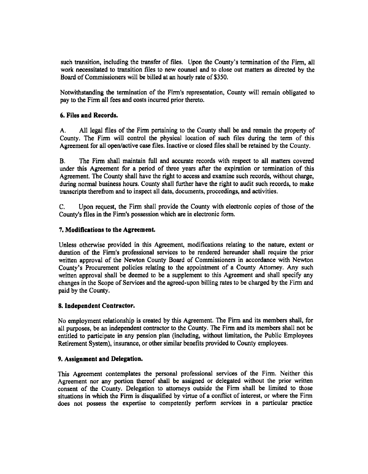such transition, including the transfer of files. Upon the County's termination of the Firm, all work necessitated to transition files to new counsel and to close out matters as directed by the Board of Commissioners will be billed at an hourly rate of \$350.

Notwithstanding the termination of the Firm's representation, County will remain obligated to pay to the Firm all fees and costs incurred prior thereto.

# 6. Files and Records.

A. All legal files of the Firm pertaining to the County shall be and remain the property of County. The Firm will control the physical location of such files during the tern of this Agreement for all open/active case files. Inactive or closed files shall be retained by the County.

B. The Firm shall maintain full and accurate records with respect to all matters covered under this Agreement for a period of three years after the expiration or termination of this Agreement. The County shall have the right to access and examine such records, without charge, during normal business hours. County shall further have the right to audit such records, to make transcripts therefrom and to inspect all data, documents, proceedings, and activities.

C. Upon request, the Firm shall provide the County with electronic copies of those of the County's files in the Firm's possession which are in electronic form.

## 7. Modifications to the Agreement.

Unless otherwise provided in this Agreement, modifications relating to the nature, extent or duration of the Firm's professional services to be rendered hereunder shall require the prior written approval of the Newton County Board of Commissioners in accordance with Newton County's Procurement policies relating to the appointment of a County Attorney. Any such written approval shall be deemed to be a supplement to this Agreement and shall specify any changes in the Scope of Services and the agreed- upon billing rates to be charged by the Firm and paid by the County.

## S. Independent Contractor.

No employment relationship is created by this Agreement. The Firm and its members shall, for all purposes, be an independent contractor to the County. The Firm and its members shall not be entitled to participate in any pension plan ( including, without limitation, the Public Employees Retirement System), insurance, or other similar benefits provided to County employees.

## 9. Assignment and Delegation.

This Agreement contemplates the personal professional services of the Firm. Neither this Agreement nor any portion thereof shall be assigned or delegated without the prior written consent of the County. Delegation to attorneys outside the Firm shall be limited to those situations in which the Firm is disqualified by virtue of <sup>a</sup> conflict of interest, or where the Firm does not possess the expertise to competently perform services in <sup>a</sup> particular practice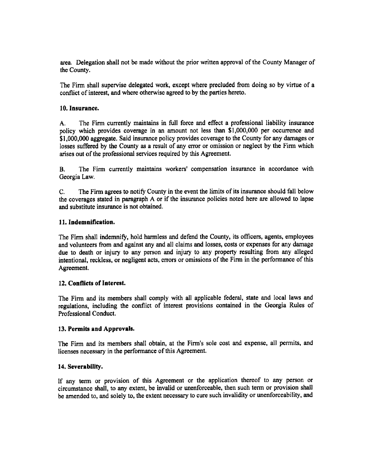area. Delegation shall not be made without the prior written approval of the County Manager of the County.

The Firm shall supervise delegated work, except where precluded from doing so by virtue of <sup>a</sup> conflict of interest, and where otherwise agreed to by the parties hereto.

## 10. Insurance.

A. The Firm currently maintains in full force and effect <sup>a</sup> professional liability insurance policy which provides coverage in an amount not less than \$ 1, 000,000 per occurrence and \$1,000,000 aggregate. Said insurance policy provides coverage to the County for any damages or losses suffered by the County as <sup>a</sup> result of any error or omission or neglect by the Firm which arises out of the professional services required by this Agreement.

B. The Firm currently maintains workers' compensation insurance in accordance with Georgia Law.

C. The Firm agrees to notify County in the event the limits of its insurance should fall below the coverages stated in paragraph A or if the insurance policies noted here are allowed to lapse and substitute insurance is not obtained.

#### 11. Indemnification.

The Firm shall indemnify, hold harmless and defend the County, its officers, agents, employees and volunteers from and against any and all claims and losses, costs or expenses for any damage due to death or injury to any person and injury to any property resulting from any alleged intentional, reckless, or negligent acts, errors or omissions of the Firm in the performance of this Agreement.

## 12. Conflicts of Interest.

The Firm and its members shall comply with all applicable federal, state and local laws and regulations, including the conflict of interest provisions contained in the Georgia Rules of Professional Conduct.

#### 13. Permits and Approvals.

The Firm and its members shall obtain, at the Firm's sole cost and expense, all permits, and licenses necessary in the performance of this Agreement.

#### 14. Severability.

If any term or provision of this Agreement or the application thereof to any person or circumstance shall, to any extent, be invalid or unenforceable, then such term or provision shall be amended to, and solely to, the extent necessary to cure such invalidity or unenforceability, and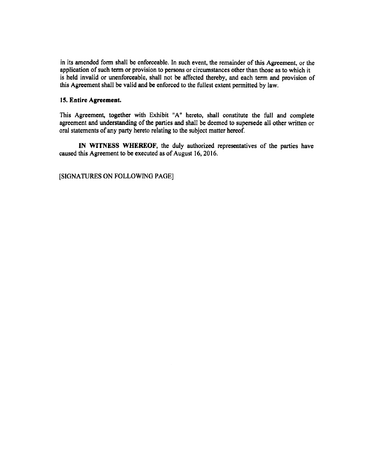in its amended form shall be enforceable. In such event, the remainder of this Agreement, or the application of such term or provision to persons or circumstances other than those as to which it is held invalid or unenforceable, shall not be affected thereby, and each term and provision of this Agreement shall be valid and be enforced to the fullest extent permitted by law.

## 15. Entire Agreement.

This Agreement, together with Exhibit "A" hereto, shall constitute the full and complete agreement and understanding of the parties and shall be deemed to supersede all other written or oral statements of any party hereto relating to the subject matter hereof.

IN WITNESS WHEREOF, the duly authorized representatives of the parties have caused this Agreement to be executed as of August 16, 2016.

SIGNATURES ON FOLLOWING PAGE]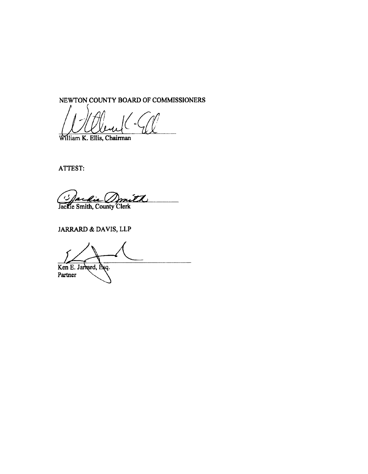NEWTON COUNTY BOARD OF COMMISSIONERS

Mlliam K. Ellis, Chairman

ATTEST:

بر Jackie Smith, County Clerk

JARRARD& DAVIS, LLP

Ken E. Jarrard, Esq. Partner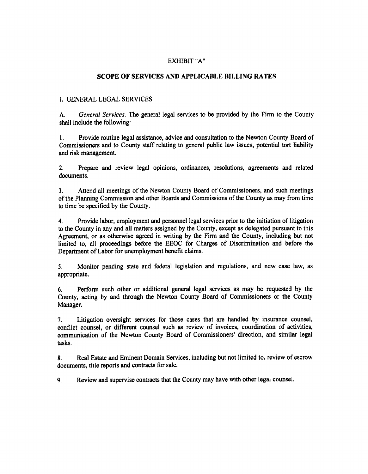## EXHIBIT "A"

# SCOPE OF SERVICES AND APPLICABLE BILLING RATES

# I. GENERAL LEGAL SERVICES

A. General Services. The general legal services to be provided by the Firm to the County shall include the following:

1. Provide routine legal assistance, advice and consultation to the Newton County Board of Commissioners and to County staff relating to general public law issues, potential tort liability and risk management.

2. Prepare and review legal opinions, ordinances, resolutions, agreements and related documents.

3. Attend all meetings of the Newton County Board of Commissioners, and such meetings of the Planning Commission and other Boards and Commissions of the County as may from time to time be specified by the County.

4. Provide labor, employment and personnel legal services prior to the initiation of litigation to the County in any and all matters assigned by the County, except as delegated pursuant to this Agreement, or as otherwise agreed in writing by the Firm and the County, including but not limited to, all proceedings before the EEOC for Charges of Discrimination and before the Department of Labor for unemployment benefit claims.

S. Monitor pending state and federal legislation and regulations, and new case law, as appropriate.

6. Perform such other or additional general legal services as may be requested by the County, acting by and through the Newton County Board of Commissioners or the County Manager.

7. Litigation oversight services for those cases that are handled by insurance counsel, conflict counsel, or different counsel such as review of invoices, coordination of activities, communication of the Newton County Board of Commissioners' direction, and similar legal tasks.

8. Real Estate and Eminent Domain Services, including but not limited to, review of escrow documents, title reports and contracts for sale.

9. Review and supervise contracts that the County may have with other legal counsel.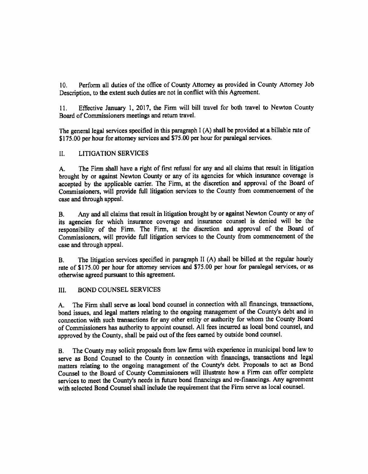10. Perform all duties of the office of County Attorney as provided in County Attorney Job Description, to the extent such duties are not in conflict with this Agreement.

11. Effective January 1, 2017, the Firm will bill travel for both travel to Newton County Board of Commissioners meetings and return travel.

The general legal services specified in this paragraph  $I(A)$  shall be provided at a billable rate of \$175.00 per hour for attorney services and \$75.00 per hour for paralegal services.

# II. LITIGATION SERVICES

A. The Firm shall have <sup>a</sup> right of first refusal for any and all claims that result in litigation brought by or against Newton County or any of its agencies for which insurance coverage is accepted by the applicable carrier. The Firm, at the discretion and approval of the Board of Commissioners, will provide full litigation services to the County from commencement of the case and through appeal.

B. Any and all claims that result in litigation brought by or against Newton County or any of its agencies for which insurance coverage and insurance counsel is denied will be the responsibility of the Firm. The Firm, at the discretion and approval of the Board of Commissioners, will provide full litigation services to the County from commencement of the case and through appeal.

B. The litigation services specified in paragraph II (A) shall be billed at the regular hourly rate of \$175.00 per hour for attorney services and \$75.00 per hour for paralegal services, or as otherwise agreed pursuant to this agreement.

## III. BOND COUNSEL SERVICES

A. The Firm shall serve as local bond counsel in connection with all financings, transactions, bond issues, and legal matters relating to the ongoing management of the County's debt and in connection with such transactions for any other entity or authority for whom the County Board of Commissioners has authority to appoint counsel. All fees incurred as local bond counsel, and approved by the County, shall be paid out of the fees earned by outside bond counsel.

B. The County may solicit proposals from law firms with experience in municipal bond law to serve as Bond Counsel to the County in connection with financings, transactions and legal matters relating to the ongoing management of the County's debt. Proposals to act as Bond Counsel to the Board of County Commissioners will illustrate how <sup>a</sup> Firm can offer complete services to meet the County's needs in future bond financings and re-financings. Any agreement with selected Bond Counsel shall include the requirement that the Firm serve as local counsel.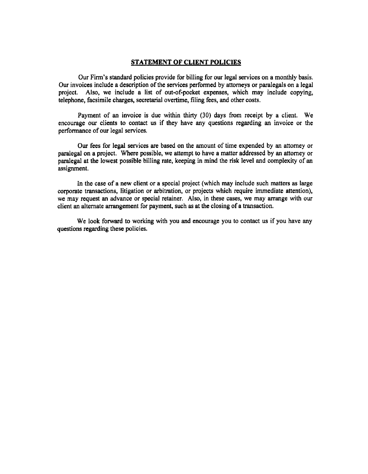#### STATEMENT OF CLIENT POLICIES

Our Firm's standard policies provide for billing for our legal services on a monthly basis. Our invoices include a description of the services performed by attorneys or paralegals on <sup>a</sup> legal project. Also, we include <sup>a</sup> list of out-of-pocket expenses, which may include copying, telephone, facsimile charges, secretarial overtime, filing fees, and other costs.

Payment of an invoice is due within thirty (30) days from receipt by a client. We encourage our clients to contact us if they have any questions regarding an invoice or the performance of our legal services.

Our fees for legal services are based on the amount of time expended by an attorney or paralegal on a project. Where possible, we attempt to have a matter addressed by an attorney or paralegal at the lowest possible billing rate, keeping in mind the risk level and complexity of an assignment.

In the case of <sup>a</sup> new client or <sup>a</sup> special project ( which may include such matters as large corporate transactions, litigation or arbitration, or projects which require immediate attention), we may request an advance or special retainer. Also, in these cases, we may arrange with our client an alternate arrangement for payment, such as at the closing of <sup>a</sup> transaction.

We look forward to working with you and encourage you to contact us if you have any questions regarding these policies.